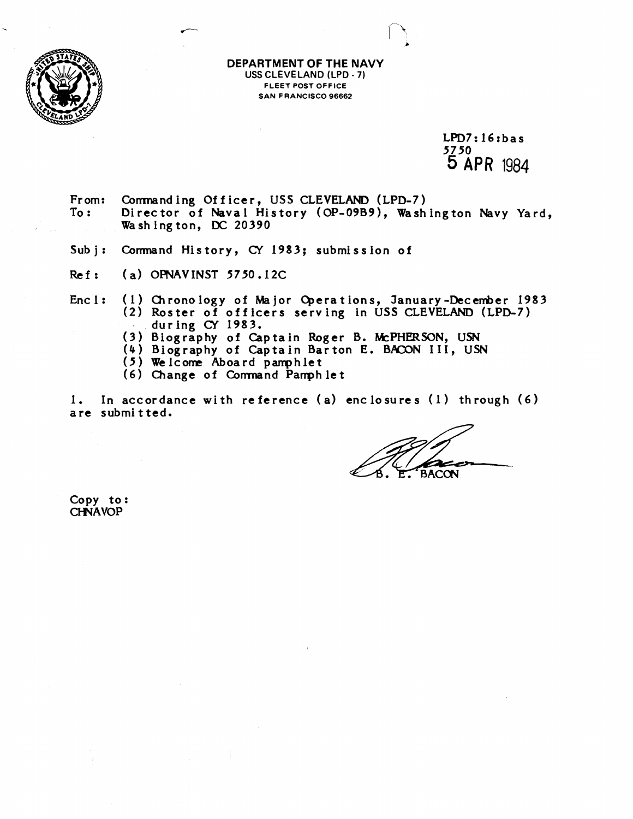

**DEPARTMENT OF THE NAVY USS CLEVELAND (LPD** - **7) FLEET POST OFFICE SAN FRANCISCO 96662** 

> $LPD7:16:bas$ 5750 **5 APA** 1984

From: Comnanding Officer, USS CLEVELAND (LPD-7) Director of Naval History (OP-09B9), Washington Navy Yard, Washing ton, **DC** 20390

- Sub j: Comnand History, **CY** 1983; submission of
- Rcf: (a) OPNAVINST 5750.12C
- Enc 1: (1) Chronology of Major Operations, January-December 1983 **(2)** Roster of officers serving in **USS** CLEVELAND (LPD-7) during **CY** 1983.
	- **(3)** Biography of Captain Roger B. WPHERSON, **USN**
	- (4) Biography of Captain Barton E. BACON III, USN
	- (5) Welcome Aboard pamphlet
	- **(6)** Change of Comnand Parrph let

1. In accordance with reference **(a)** enclosures (I) through *(6)*  are submitted.

**BACON** 

Copy to: **CHNAVOP**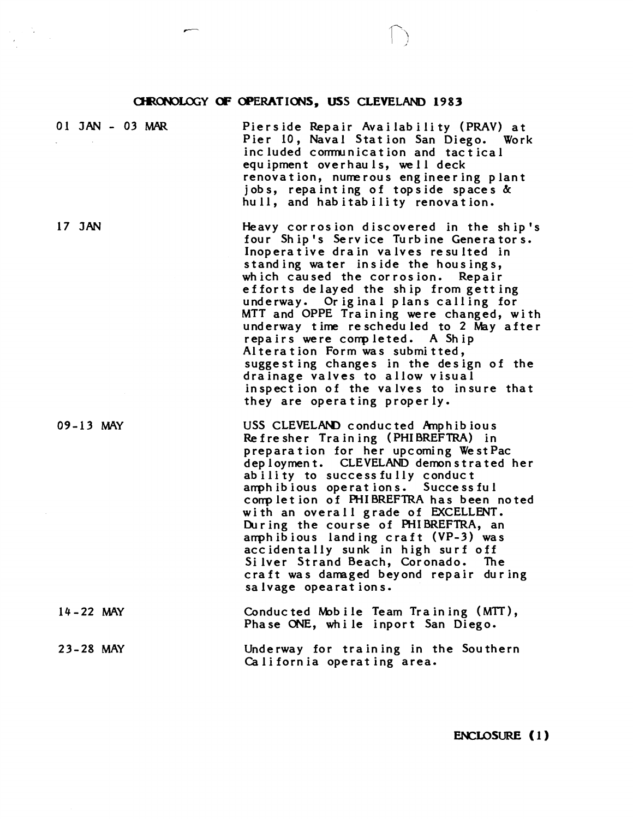## **CHRONOLOGY OF OPERATIONS, USS CLEVELAND 1983**

 $\label{eq:2} \begin{split} \mathcal{L}_{\text{max}}(\mathbf{X}) &= \mathcal{L}_{\text{max}}(\mathbf{X}) \mathcal{L}_{\text{max}}(\mathbf{X}) \\ &= \mathcal{L}_{\text{max}}(\mathbf{X}) \mathcal{L}_{\text{max}}(\mathbf{X}) \mathcal{L}_{\text{max}}(\mathbf{X}) \mathcal{L}_{\text{max}}(\mathbf{X}) \mathcal{L}_{\text{max}}(\mathbf{X}) \mathcal{L}_{\text{max}}(\mathbf{X}) \mathcal{L}_{\text{max}}(\mathbf{X}) \mathcal{L}_{\text{max}}(\mathbf{X}) \mathcal{L}_{\text{max}}(\mathbf{X}) \$ 

| 01 JAN - 03 MAR | Pierside Repair Availability (PRAV) at<br>Pier 10, Naval Station San Diego. Work<br>included communication and tactical<br>equipment overhauls, well deck<br>renovation, numerous engineering plant<br>jobs, repainting of topside spaces &<br>hull, and habitability renovation.                                                                                                                                                                                                                                                                                                                              |
|-----------------|----------------------------------------------------------------------------------------------------------------------------------------------------------------------------------------------------------------------------------------------------------------------------------------------------------------------------------------------------------------------------------------------------------------------------------------------------------------------------------------------------------------------------------------------------------------------------------------------------------------|
| 17 JAN          | Heavy corrosion discovered in the ship's<br>four Ship's Service Turbine Generators.<br>Inoperative drain valves resulted in<br>standing water inside the housings,<br>which caused the corrosion. Repair<br>efforts delayed the ship from getting<br>underway. Original plans calling for<br>MTT and OPPE Training were changed, with<br>underway time rescheduled to 2 May after<br>repairs were completed. A Ship<br>Alteration Form was submitted,<br>suggesting changes in the design of the<br>drainage valves to allow visual<br>inspection of the valves to insure that<br>they are operating properly. |
| $09 - 13$ MAY   | USS CLEVELAND conducted Amphibious<br>Refresher Training (PHIBREFTRA) in<br>preparation for her upcoming WestPac<br>deployment. CLEVELAND demonstrated her<br>ability to successfully conduct<br>amphibious operations. Successful<br>completion of PHIBREFTRA has been noted<br>with an overall grade of EXCELLENT.<br>During the course of PHIBREFTRA, an<br>amphibious landing craft (VP-3) was<br>accidentally sunk in high surf off<br>Silver Strand Beach, Coronado. The<br>craft was damaged beyond repair during<br>salvage opearations.                                                               |
| $14 - 22$ MAY   | Conducted Mobile Team Training (MTT),<br>Phase ONE, while inport San Diego.                                                                                                                                                                                                                                                                                                                                                                                                                                                                                                                                    |
| 23-28 MAY       | Underway for training in the Southern<br>California operating area.                                                                                                                                                                                                                                                                                                                                                                                                                                                                                                                                            |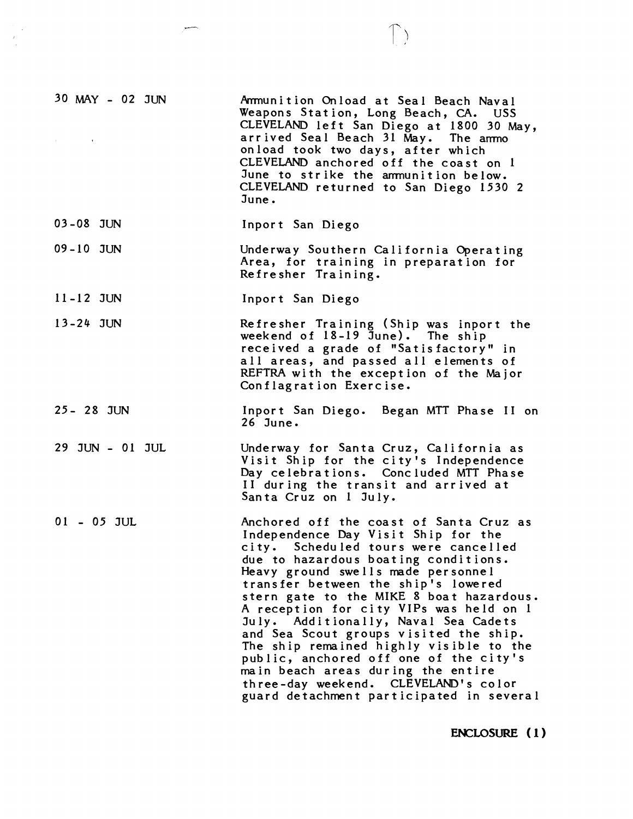| 30 MAY - 02 JUN<br>$\mathbf{u}$ and $\mathbf{u}$ are $\mathbf{u}$ and $\mathbf{u}$ | Armunition Onload at Seal Beach Naval<br>Weapons Station, Long Beach, CA. USS<br>CLEVELAND left San Diego at 1800 30 May,<br>arrived Seal Beach 31 May. The ammo<br>onload took two days, after which<br>CLEVELAND anchored off the coast on 1<br>June to strike the ammunition below.<br>CLEVELAND returned to San Diego 1530 2<br>June.                                                                                                                                                                                                                                                                                           |
|------------------------------------------------------------------------------------|-------------------------------------------------------------------------------------------------------------------------------------------------------------------------------------------------------------------------------------------------------------------------------------------------------------------------------------------------------------------------------------------------------------------------------------------------------------------------------------------------------------------------------------------------------------------------------------------------------------------------------------|
| 03-08 JUN                                                                          | Inport San Diego                                                                                                                                                                                                                                                                                                                                                                                                                                                                                                                                                                                                                    |
| $09 - 10$ JUN                                                                      | Underway Southern California Operating<br>Area, for training in preparation for<br>Refresher Training.                                                                                                                                                                                                                                                                                                                                                                                                                                                                                                                              |
| $11 - 12$ JUN                                                                      | Inport San Diego                                                                                                                                                                                                                                                                                                                                                                                                                                                                                                                                                                                                                    |
| $13-24$ JUN                                                                        | Refresher Training (Ship was inport the<br>weekend of 18-19 June). The ship<br>received a grade of "Satisfactory" in<br>all areas, and passed all elements of<br>REFTRA with the exception of the Major<br>Conflagration Exercise.                                                                                                                                                                                                                                                                                                                                                                                                  |
| 25 - 28 JUN                                                                        | Inport San Diego. Began MTT Phase II on<br>26 June.                                                                                                                                                                                                                                                                                                                                                                                                                                                                                                                                                                                 |
| 29 JUN - 01 JUL                                                                    | Underway for Santa Cruz, California as<br>Visit Ship for the city's Independence<br>Day celebrations. Concluded MTT Phase<br>II during the transit and arrived at<br>Santa Cruz on 1 July.                                                                                                                                                                                                                                                                                                                                                                                                                                          |
| $01 - 05$ JUL                                                                      | Anchored off the coast of Santa Cruz as<br>Independence Day Visit Ship for the<br>city. Scheduled tours were cancelled<br>due to hazardous boating conditions.<br>Heavy ground swells made personnel<br>transfer between the ship's lowered<br>stern gate to the MIKE 8 boat hazardous.<br>A reception for city VIPs was held on 1<br>July. Additionally, Naval Sea Cadets<br>and Sea Scout groups visited the ship.<br>The ship remained highly visible to the<br>public, anchored off one of the city's<br>main beach areas during the entire<br>three-day weekend. CLEVELAND's color<br>guard detachment participated in several |

**ENCLOSURE (1)**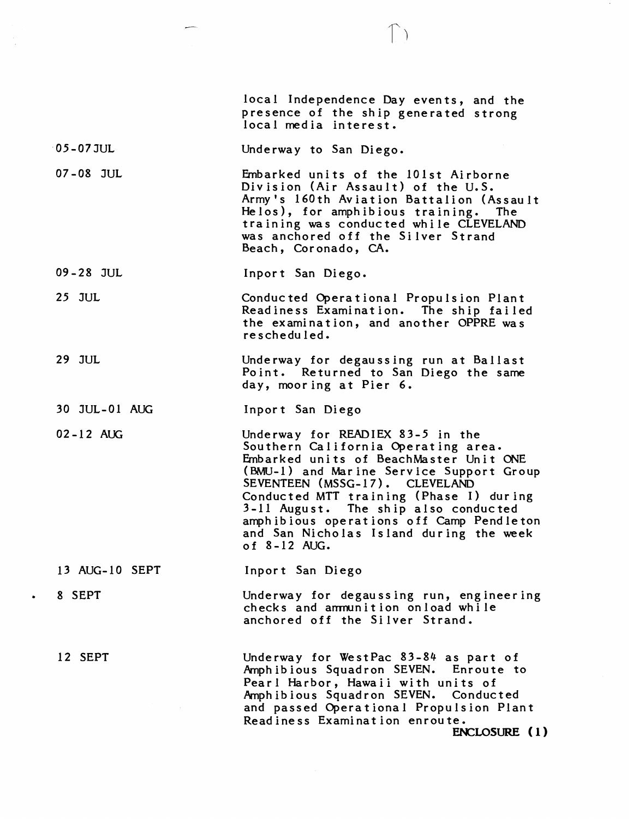|                | local Independence Day events, and the<br>presence of the ship generated strong<br>local media interest.                                                                                                                                                                                                                                                                                  |
|----------------|-------------------------------------------------------------------------------------------------------------------------------------------------------------------------------------------------------------------------------------------------------------------------------------------------------------------------------------------------------------------------------------------|
| $-05 - 07$ JUL | Underway to San Diego.                                                                                                                                                                                                                                                                                                                                                                    |
| $07 - 08$ JUL  | Embarked units of the 101st Airborne<br>Division (Air Assault) of the U.S.<br>Army's 160th Aviation Battalion (Assault<br>Helos), for amphibious training. The<br>training was conducted while CLEVELAND<br>was anchored off the Silver Strand<br>Beach, Coronado, CA.                                                                                                                    |
| 09-28 JUL      | Inport San Diego.                                                                                                                                                                                                                                                                                                                                                                         |
| $25$ JUL       | Conducted Operational Propulsion Plant<br>Readiness Examination. The ship failed<br>the examination, and another OPPRE was<br>rescheduled.                                                                                                                                                                                                                                                |
| 29 JUL         | Underway for degaussing run at Ballast<br>Point. Returned to San Diego the same<br>day, mooring at Pier 6.                                                                                                                                                                                                                                                                                |
| 30 JUL-01 AUG  | Inport San Diego                                                                                                                                                                                                                                                                                                                                                                          |
| $02 - 12$ AUG  | Underway for READIEX 83-5 in the<br>Southern California Operating area.<br>Embarked units of BeachMaster Unit ONE<br>(BMU-1) and Marine Service Support Group<br>SEVENTEEN (MSSG-17). CLEVELAND<br>Conducted MTT training (Phase I) during<br>3-11 August. The ship also conducted<br>amphibious operations off Camp Pendleton<br>and San Nicholas Island during the week<br>of 8-12 AUG. |
| 13 AUG-10 SEPT | Inport San Diego                                                                                                                                                                                                                                                                                                                                                                          |
| 8 SEPT         | Underway for degaussing run, engineering<br>checks and ammunition onload while<br>anchored off the Silver Strand.                                                                                                                                                                                                                                                                         |
| 12 SEPT        | Underway for WestPac 83-84 as part of<br>Amphibious Squadron SEVEN. Enroute to<br>Pearl Harbor, Hawaii with units of<br>Amphibious Squadron SEVEN. Conducted<br>and passed Operational Propulsion Plant<br>Readiness Examination enroute.<br>ENCLOSURE (1)                                                                                                                                |

 $\bullet$ 

 $\bigcap_{i=1}^n$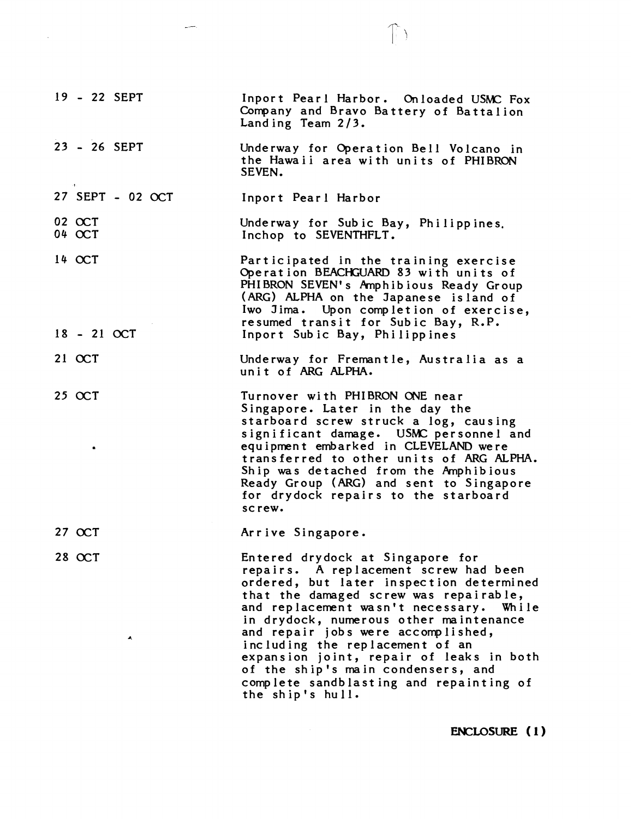| 19 - 22 SEPT            | Inport Pearl Harbor. Onloaded USMC Fox<br>Company and Bravo Battery of Battalion<br>Landing Team 2/3.                                                                                                                                                                                                                                                                                                                                                                          |
|-------------------------|--------------------------------------------------------------------------------------------------------------------------------------------------------------------------------------------------------------------------------------------------------------------------------------------------------------------------------------------------------------------------------------------------------------------------------------------------------------------------------|
| 23 - 26 SEPT            | Underway for Operation Bell Volcano in<br>the Hawaii area with units of PHIBRON<br>SEVEN.                                                                                                                                                                                                                                                                                                                                                                                      |
| 27 SEPT - 02 OCT        | Inport Pearl Harbor                                                                                                                                                                                                                                                                                                                                                                                                                                                            |
| 02 OCT<br>04 OCT        | Underway for Subic Bay, Philippines.<br>Inchop to SEVENTHFLT.                                                                                                                                                                                                                                                                                                                                                                                                                  |
| $14$ OCT<br>18 - 21 OCT | Participated in the training exercise<br>Operation BEACHGUARD 83 with units of<br>PHIBRON SEVEN's Amphibious Ready Group<br>(ARG) ALPHA on the Japanese island of<br>Iwo Jima. Upon completion of exercise,<br>resumed transit for Subic Bay, R.P.<br>Inport Subic Bay, Philippines                                                                                                                                                                                            |
| $21$ OCT                | Underway for Fremantle, Australia as a<br>unit of ARG ALPHA.                                                                                                                                                                                                                                                                                                                                                                                                                   |
| $25$ OCT<br>۰           | Turnover with PHIBRON ONE near<br>Singapore. Later in the day the<br>starboard screw struck a log, causing<br>significant damage. USMC personnel and<br>equipment embarked in CLEVELAND were<br>transferred to other units of ARG ALPHA.<br>Ship was detached from the Amphibious<br>Ready Group (ARG) and sent to Singapore<br>for drydock repairs to the starboard<br>screw.                                                                                                 |
| 27 OCT                  | Arrive Singapore.                                                                                                                                                                                                                                                                                                                                                                                                                                                              |
| 28 OCT<br>A.            | Entered drydock at Singapore for<br>repairs. A replacement screw had been<br>ordered, but later inspection determined<br>that the damaged screw was repairable,<br>and replacement wasn't necessary. While<br>in drydock, numerous other maintenance<br>and repair jobs were accomplished,<br>including the replacement of an<br>expansion joint, repair of leaks in both<br>of the ship's main condensers, and<br>complete sandblasting and repainting of<br>the ship's hull. |

المسر

 $\mathcal{L}(\mathcal{A})$  and  $\mathcal{L}(\mathcal{A})$  .

**ENCLOSURE (I)** 

 $\mathbb{D}$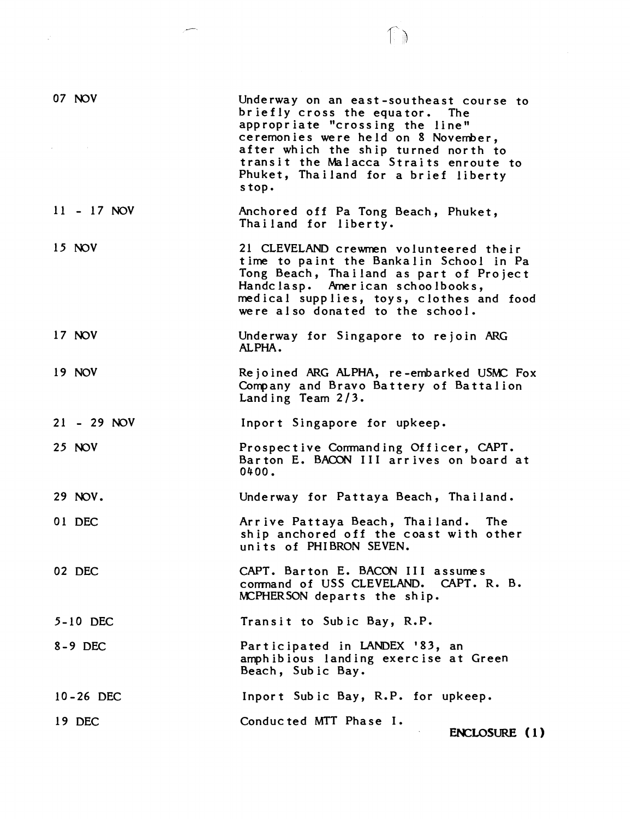| 07 NOV        | Underway on an east-southeast course to<br>briefly cross the equator. The<br>appropriate "crossing the line"<br>ceremonies were held on 8 November,<br>after which the ship turned north to<br>transit the Malacca Straits enroute to<br>Phuket, Thailand for a brief liberty<br>stop. |
|---------------|----------------------------------------------------------------------------------------------------------------------------------------------------------------------------------------------------------------------------------------------------------------------------------------|
| 11 - 17 NOV   | Anchored off Pa Tong Beach, Phuket,<br>Thailand for liberty.                                                                                                                                                                                                                           |
| $15$ NOV      | 21 CLEVELAND crewmen volunteered their<br>time to paint the Bankalin School in Pa<br>Tong Beach, Thailand as part of Project<br>Handclasp. American schoolbooks,<br>medical supplies, toys, clothes and food<br>were also donated to the school.                                       |
| 17 NOV        | Underway for Singapore to rejoin ARG<br>ALPHA.                                                                                                                                                                                                                                         |
| 19 NOV        | Rejoined ARG ALPHA, re-embarked USMC Fox<br>Company and Bravo Battery of Battalion<br>Landing Team 2/3.                                                                                                                                                                                |
| $21 - 29 NOV$ | Inport Singapore for upkeep.                                                                                                                                                                                                                                                           |
| <b>25 NOV</b> | Prospective Commanding Officer, CAPT.<br>Barton E. BACON III arrives on board at<br>0400.                                                                                                                                                                                              |
| 29 NOV.       | Underway for Pattaya Beach, Thailand.                                                                                                                                                                                                                                                  |
| 01 DEC        | Arrive Pattaya Beach, Thailand. The<br>ship anchored off the coast with other<br>units of PHIBRON SEVEN.                                                                                                                                                                               |
| 02 DEC        | CAPT. Barton E. BACON III assumes<br>command of USS CLEVELAND. CAPT. R. B.<br>MCPHERSON departs the ship.                                                                                                                                                                              |
| 5-10 DEC      | Transit to Subic Bay, R.P.                                                                                                                                                                                                                                                             |
| $8-9$ DEC     | Participated in LANDEX '83, an<br>amphibious landing exercise at Green<br>Beach, Subic Bay.                                                                                                                                                                                            |
| 10-26 DEC     | Inport Subic Bay, R.P. for upkeep.                                                                                                                                                                                                                                                     |
| 19 DEC        | Conducted MTT Phase I.<br>ENCLOSURE (1)                                                                                                                                                                                                                                                |